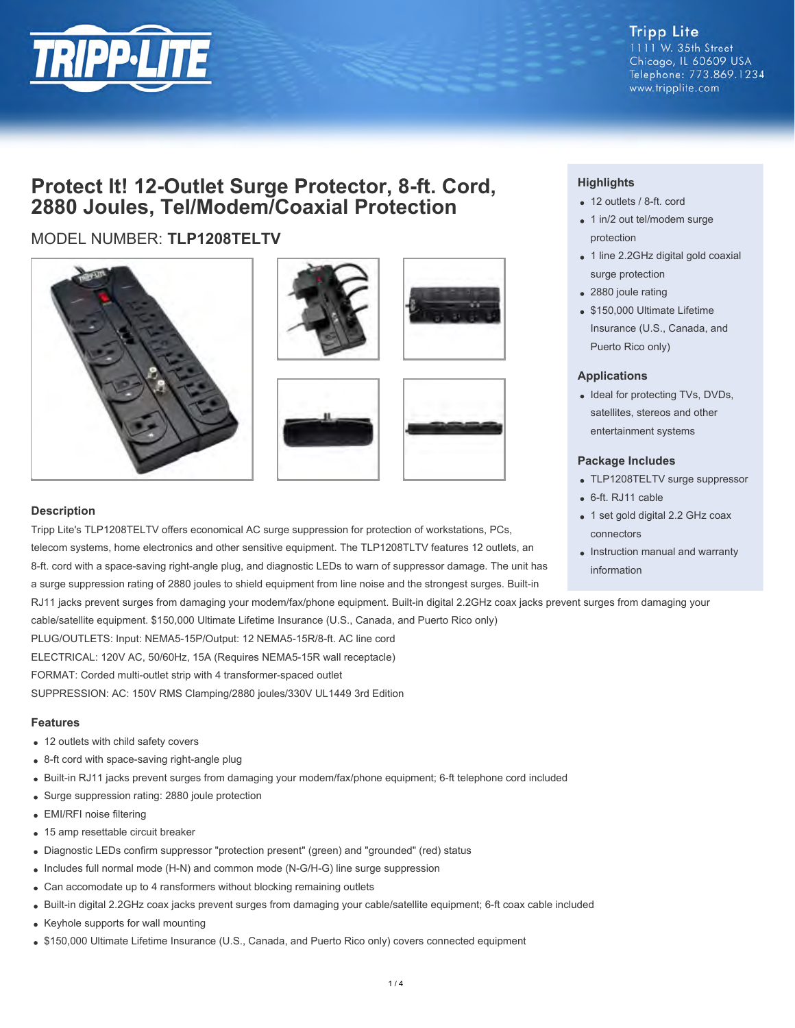

#### **Tripp Lite** 1111 W. 35th Street Chicago, IL 60609 USA Telephone: 773.869.1234 www.tripplite.com

## **Protect It! 12-Outlet Surge Protector, 8-ft. Cord, 2880 Joules, Tel/Modem/Coaxial Protection**

### MODEL NUMBER: **TLP1208TELTV**









#### **Description**

Tripp Lite's TLP1208TELTV offers economical AC surge suppression for protection of workstations, PCs, telecom systems, home electronics and other sensitive equipment. The TLP1208TLTV features 12 outlets, an 8-ft. cord with a space-saving right-angle plug, and diagnostic LEDs to warn of suppressor damage. The unit has a surge suppression rating of 2880 joules to shield equipment from line noise and the strongest surges. Built-in

RJ11 jacks prevent surges from damaging your modem/fax/phone equipment. Built-in digital 2.2GHz coax jacks prevent surges from damaging your

cable/satellite equipment. \$150,000 Ultimate Lifetime Insurance (U.S., Canada, and Puerto Rico only)

PLUG/OUTLETS: Input: NEMA5-15P/Output: 12 NEMA5-15R/8-ft. AC line cord

ELECTRICAL: 120V AC, 50/60Hz, 15A (Requires NEMA5-15R wall receptacle)

FORMAT: Corded multi-outlet strip with 4 transformer-spaced outlet

SUPPRESSION: AC: 150V RMS Clamping/2880 joules/330V UL1449 3rd Edition

#### **Features**

- 12 outlets with child safety covers
- 8-ft cord with space-saving right-angle plug
- Built-in RJ11 jacks prevent surges from damaging your modem/fax/phone equipment; 6-ft telephone cord included
- Surge suppression rating: 2880 joule protection
- EMI/RFI noise filtering
- 15 amp resettable circuit breaker
- Diagnostic LEDs confirm suppressor "protection present" (green) and "grounded" (red) status
- Includes full normal mode (H-N) and common mode (N-G/H-G) line surge suppression
- Can accomodate up to 4 ransformers without blocking remaining outlets
- Built-in digital 2.2GHz coax jacks prevent surges from damaging your cable/satellite equipment; 6-ft coax cable included
- Keyhole supports for wall mounting
- \$150,000 Ultimate Lifetime Insurance (U.S., Canada, and Puerto Rico only) covers connected equipment

#### **Highlights**

- 12 outlets / 8-ft. cord
- 1 in/2 out tel/modem surge protection
- 1 line 2.2GHz digital gold coaxial surge protection
- 2880 joule rating
- \$150,000 Ultimate Lifetime Insurance (U.S., Canada, and Puerto Rico only)

#### **Applications**

• Ideal for protecting TVs, DVDs, satellites, stereos and other entertainment systems

#### **Package Includes**

- TLP1208TELTV surge suppressor
- 6-ft. RJ11 cable
- 1 set gold digital 2.2 GHz coax connectors
- Instruction manual and warranty information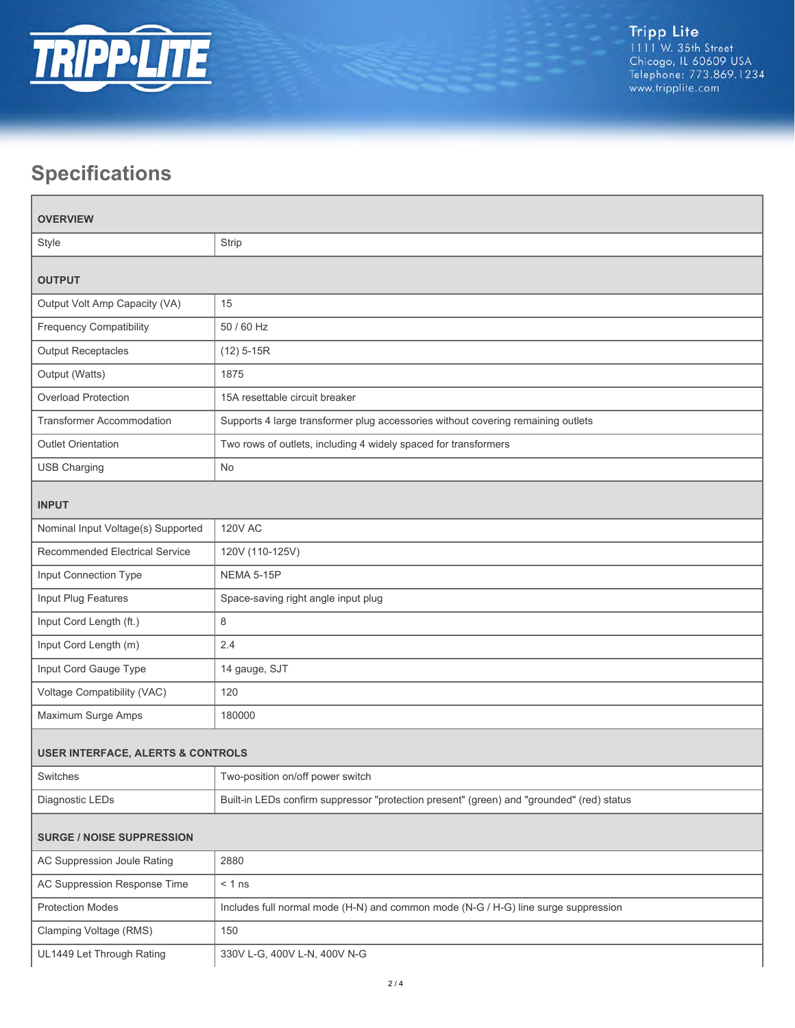

# **Specifications**

| <b>OVERVIEW</b>                              |                                                                                           |  |
|----------------------------------------------|-------------------------------------------------------------------------------------------|--|
| Style                                        | Strip                                                                                     |  |
| <b>OUTPUT</b>                                |                                                                                           |  |
| Output Volt Amp Capacity (VA)                | 15                                                                                        |  |
| <b>Frequency Compatibility</b>               | 50 / 60 Hz                                                                                |  |
| <b>Output Receptacles</b>                    | $(12)$ 5-15R                                                                              |  |
| Output (Watts)                               | 1875                                                                                      |  |
| Overload Protection                          | 15A resettable circuit breaker                                                            |  |
| <b>Transformer Accommodation</b>             | Supports 4 large transformer plug accessories without covering remaining outlets          |  |
| <b>Outlet Orientation</b>                    | Two rows of outlets, including 4 widely spaced for transformers                           |  |
| <b>USB Charging</b>                          | No                                                                                        |  |
| <b>INPUT</b>                                 |                                                                                           |  |
| Nominal Input Voltage(s) Supported           | <b>120V AC</b>                                                                            |  |
| Recommended Electrical Service               | 120V (110-125V)                                                                           |  |
| Input Connection Type                        | <b>NEMA 5-15P</b>                                                                         |  |
| Input Plug Features                          | Space-saving right angle input plug                                                       |  |
| Input Cord Length (ft.)                      | 8                                                                                         |  |
| Input Cord Length (m)                        | 2.4                                                                                       |  |
| Input Cord Gauge Type                        | 14 gauge, SJT                                                                             |  |
| Voltage Compatibility (VAC)                  | 120                                                                                       |  |
| Maximum Surge Amps                           | 180000                                                                                    |  |
| <b>USER INTERFACE, ALERTS &amp; CONTROLS</b> |                                                                                           |  |
| Switches                                     | Two-position on/off power switch                                                          |  |
| Diagnostic LEDs                              | Built-in LEDs confirm suppressor "protection present" (green) and "grounded" (red) status |  |
| <b>SURGE / NOISE SUPPRESSION</b>             |                                                                                           |  |
| AC Suppression Joule Rating                  | 2880                                                                                      |  |
| AC Suppression Response Time                 | $< 1$ ns                                                                                  |  |
| <b>Protection Modes</b>                      | Includes full normal mode (H-N) and common mode (N-G / H-G) line surge suppression        |  |
| Clamping Voltage (RMS)                       | 150                                                                                       |  |
| UL1449 Let Through Rating                    | 330V L-G, 400V L-N, 400V N-G                                                              |  |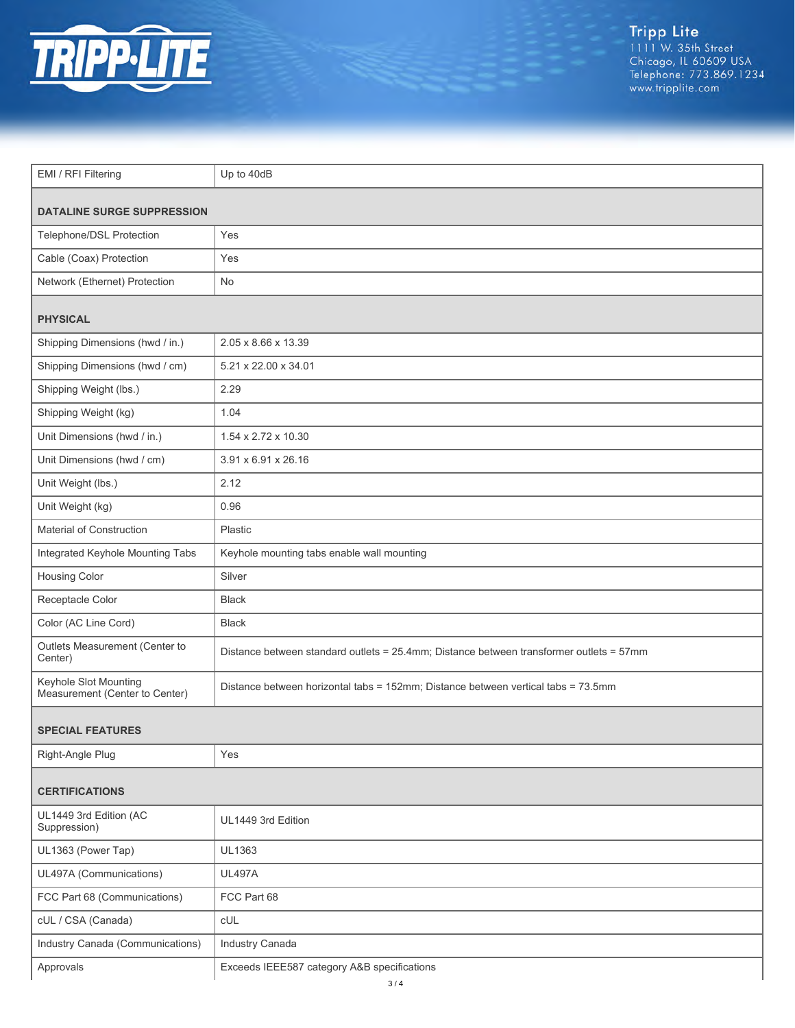

Tripp Lite<br>1111 W. 35th Street<br>Chicago, IL 60609 USA<br>Telephone: 773.869.1234<br>www.tripplite.com

| EMI / RFI Filtering                                     | Up to 40dB                                                                              |  |
|---------------------------------------------------------|-----------------------------------------------------------------------------------------|--|
| <b>DATALINE SURGE SUPPRESSION</b>                       |                                                                                         |  |
| Telephone/DSL Protection                                | Yes                                                                                     |  |
|                                                         |                                                                                         |  |
| Cable (Coax) Protection                                 | Yes                                                                                     |  |
| Network (Ethernet) Protection                           | No                                                                                      |  |
| <b>PHYSICAL</b>                                         |                                                                                         |  |
| Shipping Dimensions (hwd / in.)                         | 2.05 x 8.66 x 13.39                                                                     |  |
| Shipping Dimensions (hwd / cm)                          | 5.21 x 22.00 x 34.01                                                                    |  |
| Shipping Weight (lbs.)                                  | 2.29                                                                                    |  |
| Shipping Weight (kg)                                    | 1.04                                                                                    |  |
| Unit Dimensions (hwd / in.)                             | 1.54 x 2.72 x 10.30                                                                     |  |
| Unit Dimensions (hwd / cm)                              | 3.91 x 6.91 x 26.16                                                                     |  |
| Unit Weight (lbs.)                                      | 2.12                                                                                    |  |
| Unit Weight (kg)                                        | 0.96                                                                                    |  |
| Material of Construction                                | Plastic                                                                                 |  |
| Integrated Keyhole Mounting Tabs                        | Keyhole mounting tabs enable wall mounting                                              |  |
| <b>Housing Color</b>                                    | Silver                                                                                  |  |
| Receptacle Color                                        | <b>Black</b>                                                                            |  |
| Color (AC Line Cord)                                    | <b>Black</b>                                                                            |  |
| Outlets Measurement (Center to<br>Center)               | Distance between standard outlets = 25.4mm; Distance between transformer outlets = 57mm |  |
| Keyhole Slot Mounting<br>Measurement (Center to Center) | Distance between horizontal tabs = 152mm; Distance between vertical tabs = 73.5mm       |  |
| <b>SPECIAL FEATURES</b>                                 |                                                                                         |  |
| Right-Angle Plug                                        | Yes                                                                                     |  |
| <b>CERTIFICATIONS</b>                                   |                                                                                         |  |
| UL1449 3rd Edition (AC<br>Suppression)                  | UL1449 3rd Edition                                                                      |  |
| UL1363 (Power Tap)                                      | UL1363                                                                                  |  |
| UL497A (Communications)                                 | <b>UL497A</b>                                                                           |  |
| FCC Part 68 (Communications)                            | FCC Part 68                                                                             |  |
| cUL / CSA (Canada)                                      | CUL                                                                                     |  |
| Industry Canada (Communications)                        | Industry Canada                                                                         |  |
| Approvals                                               | Exceeds IEEE587 category A&B specifications                                             |  |